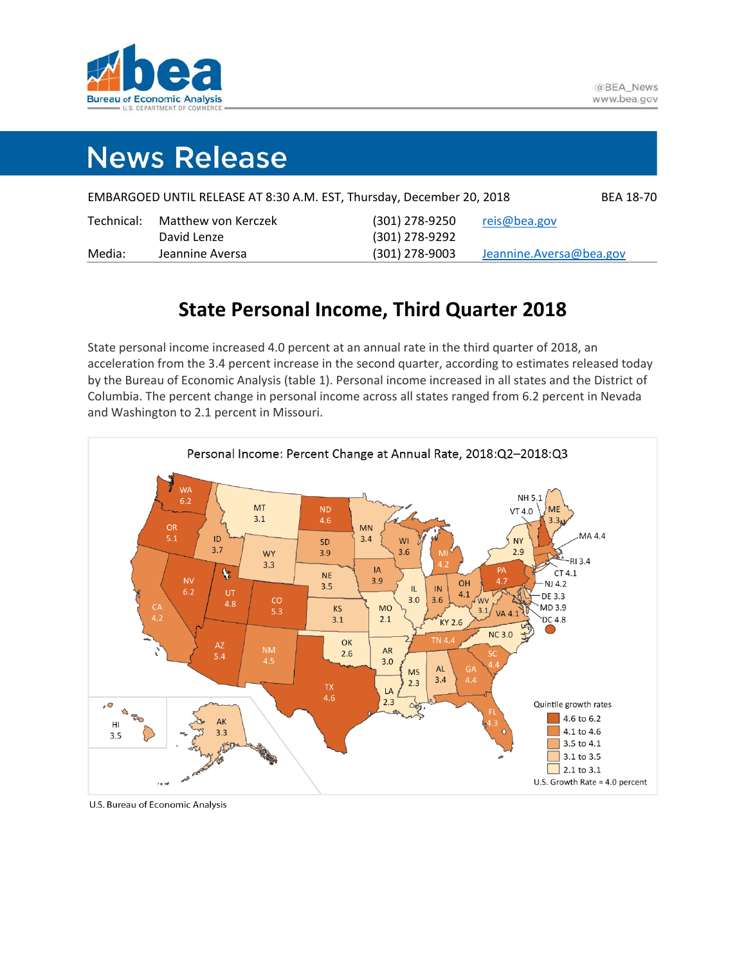

# **News Release**

|            |                     | EMBARGOED UNTIL RELEASE AT 8:30 A.M. EST, Thursday, December 20, 2018 | <b>BEA 18-70</b>         |
|------------|---------------------|-----------------------------------------------------------------------|--------------------------|
| Technical: | Matthew von Kerczek | (301) 278-9250                                                        | reis@bea.gov             |
|            | David Lenze         | (301) 278-9292                                                        |                          |
| Media:     | Jeannine Aversa     | $(301)$ 278-9003                                                      | Jeannine. Aversa@bea.gov |

# **State Personal Income, Third Quarter 2018**

State personal income increased 4.0 percent at an annual rate in the third quarter of 2018, an acceleration from the 3.4 percent increase in the second quarter, according to estimates released today by the Bureau of Economic Analysis (table 1). Personal income increased in all states and the District of Columbia. The percent change in personal income across all states ranged from 6.2 percent in Nevada and Washington to 2.1 percent in Missouri.



U.S. Bureau of Economic Analysis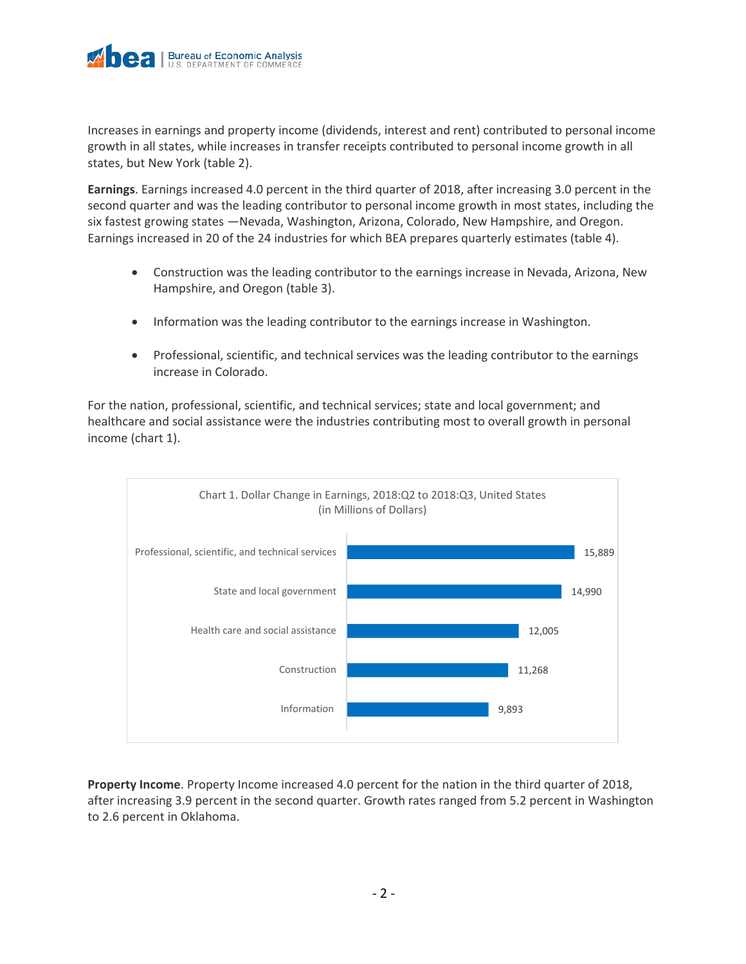Increases in earnings and property income (dividends, interest and rent) contributed to personal income growth in all states, while increases in transfer receipts contributed to personal income growth in all states, but New York (table 2).

**Earnings**. Earnings increased 4.0 percent in the third quarter of 2018, after increasing 3.0 percent in the second quarter and was the leading contributor to personal income growth in most states, including the six fastest growing states —Nevada, Washington, Arizona, Colorado, New Hampshire, and Oregon. Earnings increased in 20 of the 24 industries for which BEA prepares quarterly estimates (table 4).

- Construction was the leading contributor to the earnings increase in Nevada, Arizona, New Hampshire, and Oregon (table 3).
- Information was the leading contributor to the earnings increase in Washington.
- Professional, scientific, and technical services was the leading contributor to the earnings increase in Colorado.

For the nation, professional, scientific, and technical services; state and local government; and healthcare and social assistance were the industries contributing most to overall growth in personal income (chart 1).



**Property Income**. Property Income increased 4.0 percent for the nation in the third quarter of 2018, after increasing 3.9 percent in the second quarter. Growth rates ranged from 5.2 percent in Washington to 2.6 percent in Oklahoma.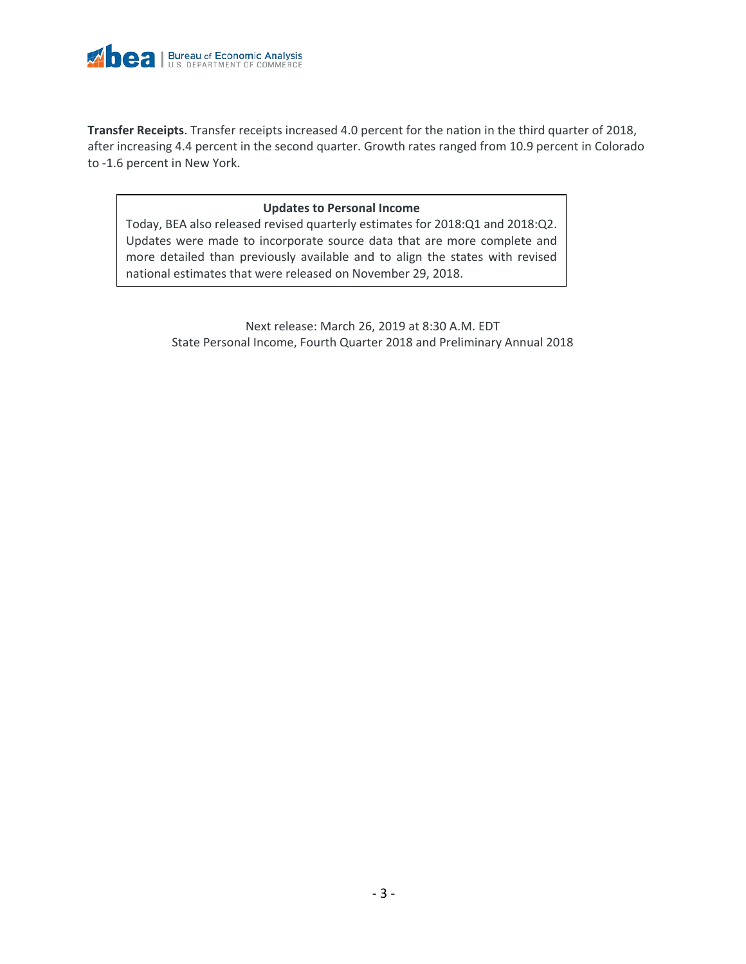

**Transfer Receipts**. Transfer receipts increased 4.0 percent for the nation in the third quarter of 2018, after increasing 4.4 percent in the second quarter. Growth rates ranged from 10.9 percent in Colorado to -1.6 percent in New York.

# **Updates to Personal Income**

Today, BEA also released revised quarterly estimates for 2018:Q1 and 2018:Q2. Updates were made to incorporate source data that are more complete and more detailed than previously available and to align the states with revised national estimates that were released on November 29, 2018.

> Next release: March 26, 2019 at 8:30 A.M. EDT State Personal Income, Fourth Quarter 2018 and Preliminary Annual 2018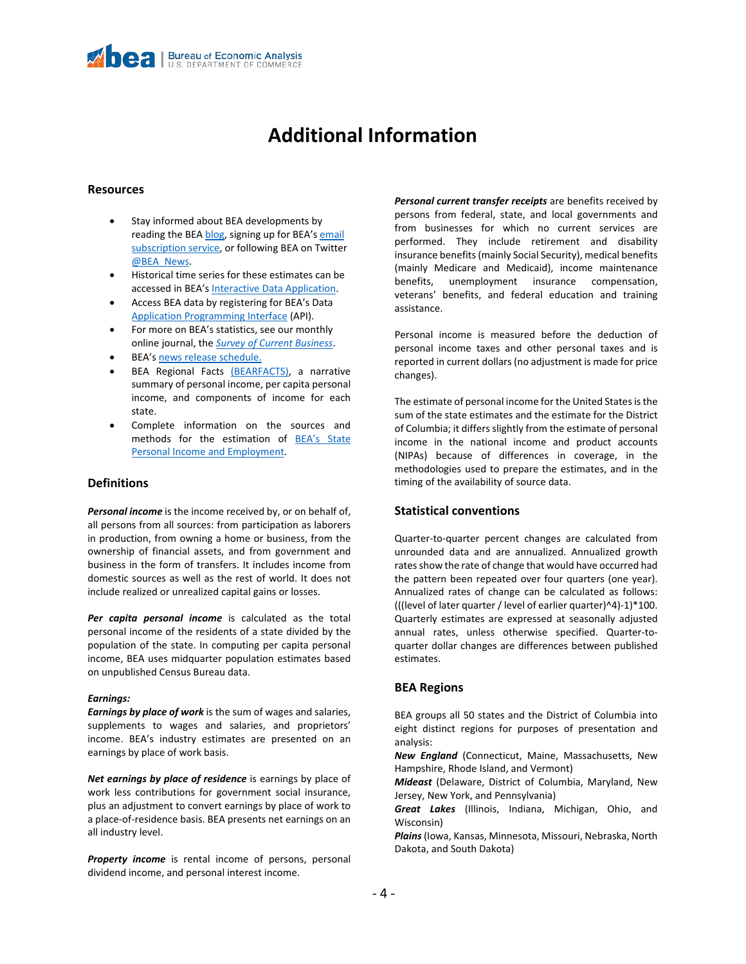# **Additional Information**

### **Resources**

- Stay informed about BEA developments by reading the BE[A blog,](https://www.bea.gov/news/blog) signing up for BEA's email [subscription service,](https://www.bea.gov/_subscribe/) or following BEA on Twitter [@BEA\\_News.](https://twitter.com/bea_news)
- Historical time series for these estimates can be accessed in BEA's [Interactive Data Application.](https://apps.bea.gov/itable/index.cfm)
- Access BEA data by registering for BEA's Data [Application Programming Interface](https://apps.bea.gov/API/signup/index.cfm) (API).
- For more on BEA's statistics, see our monthly online journal, the *[Survey of Current Business](https://apps.bea.gov/scb/)*.
- BEA'[s news release schedule.](https://www.bea.gov/news/schedule)
- BEA Regional Facts [\(BEARFACTS\),](https://apps.bea.gov/regional/bearfacts/) a narrative summary of personal income, per capita personal income, and components of income for each state.
- Complete information on the sources and methods for the estimation of BEA's State [Personal Income and Employment.](https://www.bea.gov/resources/methodologies/spi2017)

# **Definitions**

*Personal income* is the income received by, or on behalf of, all persons from all sources: from participation as laborers in production, from owning a home or business, from the ownership of financial assets, and from government and business in the form of transfers. It includes income from domestic sources as well as the rest of world. It does not include realized or unrealized capital gains or losses.

*Per capita personal income* is calculated as the total personal income of the residents of a state divided by the population of the state. In computing per capita personal income, BEA uses midquarter population estimates based on unpublished Census Bureau data.

#### *Earnings:*

*Earnings by place of work* is the sum of wages and salaries, supplements to wages and salaries, and proprietors' income. BEA's industry estimates are presented on an earnings by place of work basis.

*Net earnings by place of residence* is earnings by place of work less contributions for government social insurance, plus an adjustment to convert earnings by place of work to a place-of-residence basis. BEA presents net earnings on an all industry level.

**Property income** is rental income of persons, personal dividend income, and personal interest income.

*Personal current transfer receipts* are benefits received by persons from federal, state, and local governments and from businesses for which no current services are performed. They include retirement and disability insurance benefits (mainly Social Security), medical benefits (mainly Medicare and Medicaid), income maintenance benefits, unemployment insurance compensation, veterans' benefits, and federal education and training assistance.

Personal income is measured before the deduction of personal income taxes and other personal taxes and is reported in current dollars (no adjustment is made for price changes).

The estimate of personal income for the United States is the sum of the state estimates and the estimate for the District of Columbia; it differs slightly from the estimate of personal income in the national income and product accounts (NIPAs) because of differences in coverage, in the methodologies used to prepare the estimates, and in the timing of the availability of source data.

# **Statistical conventions**

Quarter-to-quarter percent changes are calculated from unrounded data and are annualized. Annualized growth rates show the rate of change that would have occurred had the pattern been repeated over four quarters (one year). Annualized rates of change can be calculated as follows: (((level of later quarter / level of earlier quarter)^4)-1)\*100. Quarterly estimates are expressed at seasonally adjusted annual rates, unless otherwise specified. Quarter-toquarter dollar changes are differences between published estimates.

# **BEA Regions**

BEA groups all 50 states and the District of Columbia into eight distinct regions for purposes of presentation and analysis:

*New England* (Connecticut, Maine, Massachusetts, New Hampshire, Rhode Island, and Vermont)

*Mideast* (Delaware, District of Columbia, Maryland, New Jersey, New York, and Pennsylvania)

*Great Lakes* (Illinois, Indiana, Michigan, Ohio, and Wisconsin)

*Plains*(Iowa, Kansas, Minnesota, Missouri, Nebraska, North Dakota, and South Dakota)